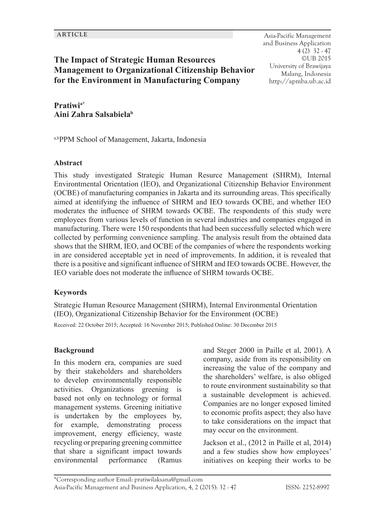**ARTICLE** Asia-Pacific Management and Business Application 4 (2) 32 - 47 ©UB 2015 University of Brawijaya Malang, Indonesia http://apmba.ub.ac.id

# **The Impact of Strategic Human Resources Management to Organizational Citizenship Behavior for the Environment in Manufacturing Company**

**Pratiwia\* Aini Zahra Salsabiela<sup>b</sup>**

a,bPPM School of Management, Jakarta, Indonesia

#### **Abstract**

This study investigated Strategic Human Resurce Management (SHRM), Internal Environtmental Orientation (IEO), and Organizational Citizenship Behavior Environment (OCBE) of manufacturing companies in Jakarta and its surrounding areas. This specifically aimed at identifying the influence of SHRM and IEO towards OCBE, and whether IEO moderates the influence of SHRM towards OCBE. The respondents of this study were employees from various levels of function in several industries and companies engaged in manufacturing. There were 150 respondents that had been successfully selected which were collected by performing convenience sampling. The analysis result from the obtained data shows that the SHRM, IEO, and OCBE of the companies of where the respondents working in are considered acceptable yet in need of improvements. In addition, it is revealed that there is a positive and significant influence of SHRM and IEO towards OCBE. However, the IEO variable does not moderate the influence of SHRM towards OCBE.

### **Keywords**

Strategic Human Resource Management (SHRM), Internal Environmental Orientation (IEO), Organizational Citizenship Behavior for the Environment (OCBE)

Received: 22 October 2015; Accepted: 16 November 2015; Published Online: 30 December 2015

### **Background**

In this modern era, companies are sued by their stakeholders and shareholders to develop environmentally responsible activities. Organizations greening is based not only on technology or formal management systems. Greening initiative is undertaken by the employees by, for example, demonstrating process improvement, energy efficiency, waste recycling or preparing greening committee that share a significant impact towards environmental performance (Ramus

and Steger 2000 in Paille et al, 2001). A company, aside from its responsibility on increasing the value of the company and the shareholders' welfare, is also obliged to route environment sustainability so that a sustainable development is achieved. Companies are no longer exposed limited to economic profits aspect; they also have to take considerations on the impact that may occur on the environment.

Jackson et al., (2012 in Paille et al, 2014) and a few studies show how employees' initiatives on keeping their works to be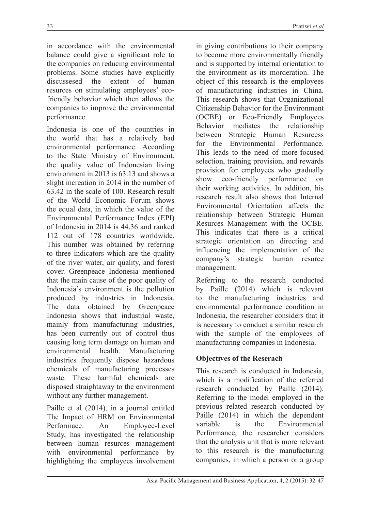in accordance with the environmental balance could give a significant role to the companies on reducing environmental problems. Some studies have explicitly<br>discussesed the extent of human discussesed the extent of human resurces on stimulating employees' ecofriendly behavior which then allows the companies to improve the environmental performance.

Indonesia is one of the countries in the world that has a relatively bad environmental performance. According to the State Ministry of Environment, the quality value of Indonesian living environment in 2013 is 63.13 and shows a slight increation in 2014 in the number of 63.42 in the scale of 100. Research result of the World Economic Forum shows the equal data, in which the value of the Environmental Performance Index (EPI) of Indonesia in 2014 is 44.36 and ranked 112 out of 178 countries worldwide. This number was obtained by referring to three indicators which are the quality of the river water, air quality, and forest cover. Greenpeace Indonesia mentioned that the main cause of the poor quality of Indonesia's environment is the pollution produced by industries in Indonesia. The data obtained by Greenpeace Indonesia shows that industrial waste, mainly from manufacturing industries, has been currently out of control thus causing long term damage on human and environmental health. Manufacturing industries frequently dispose hazardous chemicals of manufacturing processes waste. These harmful chemicals are disposed straightaway to the environment without any further management.

Paille et al (2014), in a journal entitled The Impact of HRM on Environmental Performace: An Employee-Level Study, has investigated the relationship between human resurces management with environmental performance by highlighting the employees involvement

in giving contributions to their company to become more environmentally friendly and is supported by internal orientation to the environment as its morderation. The object of this research is the employees of manufacturing industries in China. This research shows that Organizational Citizenship Behavior for the Environment (OCBE) or Eco-Friendly Employees Behavior mediates the relationship between Strategic Human Resurcess for the Environmental Performance. This leads to the need of more-focused selection, training provision, and rewards provision for employees who gradually show eco-friendly performance on their working activities. In addition, his research result also shows that Internal Environmental Orientation affects the relationship between Strategic Human Resurces Management with the OCBE. This indicates that there is a critical strategic orientation on directing and influencing the implementation of the company's strategic human resurce management.

Referring to the research conducted by Paille (2014) which is relevant to the manufacturing industries and environmental performance condition in Indonesia, the researcher considers that it is necessary to conduct a similar research with the sample of the employees of manufacturing companies in Indonesia.

# **Objectıves of the Reserach**

This research is conducted in Indonesia, which is a modification of the referred research conducted by Paille (2014). Referring to the model employed in the previous related research conducted by Paille (2014) in which the dependent variable is the Environmental Performance, the researcher considers that the analysis unit that is more relevant to this research is the manufacturing companies, in which a person or a group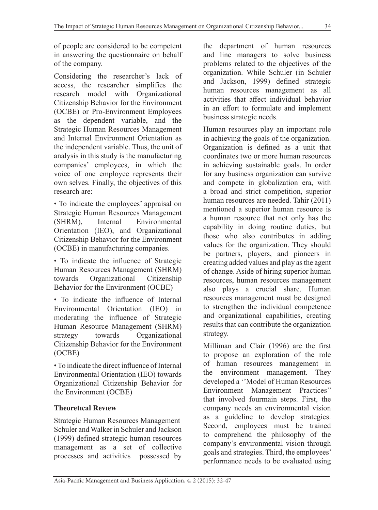of people are considered to be competent in answering the questionnaire on behalf of the company.

Considering the researcher's lack of access, the researcher simplifies the research model with Organizational Citizenship Behavior for the Environment (OCBE) or Pro-Environment Employees as the dependent variable, and the Strategic Human Resources Management and Internal Environment Orientation as the independent variable. Thus, the unit of analysis in this study is the manufacturing companies' employees, in which the voice of one employee represents their own selves. Finally, the objectives of this research are:

• To indicate the employees' appraisal on Strategic Human Resources Management (SHRM), Internal Environmental Orientation (IEO), and Organizational Citizenship Behavior for the Environment (OCBE) in manufacturing companies.

• To indicate the influence of Strategic Human Resources Management (SHRM) towards Organizational Citizenship Behavior for the Environment (OCBE)

• To indicate the influence of Internal Environmental Orientation (IEO) in moderating the influence of Strategic Human Resource Management (SHRM) strategy towards Organizational Citizenship Behavior for the Environment (OCBE)

• To indicate the direct influence of Internal Environmental Orientation (IEO) towards Organizational Citizenship Behavior for the Environment (OCBE)

# **Theoretıcal Revıew**

Strategic Human Resources Management Schuler and Walker in Schuler and Jackson (1999) defined strategic human resources management as a set of collective processes and activities possessed by the department of human resources and line managers to solve business problems related to the objectives of the organization. While Schuler (in Schuler and Jackson, 1999) defined strategic human resources management as all activities that affect individual behavior in an effort to formulate and implement business strategic needs.

Human resources play an important role in achieving the goals of the organization. Organization is defined as a unit that coordinates two or more human resources in achieving sustainable goals. In order for any business organization can survive and compete in globalization era, with a broad and strict competition, superior human resources are needed. Tahir (2011) mentioned a superior human resource is a human resource that not only has the capability in doing routine duties, but those who also contributes in adding values for the organization. They should be partners, players, and pioneers in creating added values and play as the agent of change. Aside of hiring superior human resources, human resources management also plays a crucial share. Human resources management must be designed to strengthen the individual competence and organizational capabilities, creating results that can contribute the organization strategy.

Milliman and Clair (1996) are the first to propose an exploration of the role of human resources management in the environment management. They developed a ''Model of Human Resources Environment Management Practices'' that involved fourmain steps. First, the company needs an environmental vision as a guideline to develop strategies. Second, employees must be trained to comprehend the philosophy of the company's environmental vision through goals and strategies. Third, the employees' performance needs to be evaluated using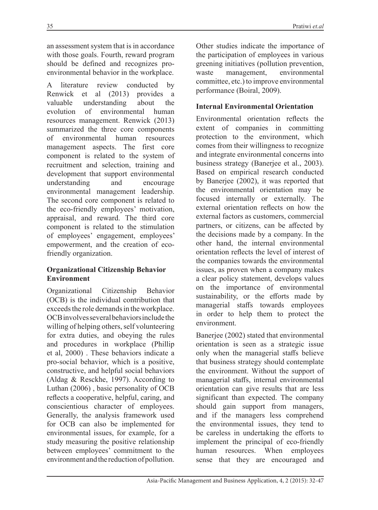an assessment system that is in accordance with those goals. Fourth, reward program should be defined and recognizes proenvironmental behavior in the workplace.

A literature review conducted by Renwick et al (2013) provides a valuable understanding about the evolution of environmental human resources management. Renwick (2013) summarized the three core components of environmental human resources management aspects. The first core component is related to the system of recruitment and selection, training and development that support environmental understanding and encourage environmental management leadership. The second core component is related to the eco-friendly employees' motivation, appraisal, and reward. The third core component is related to the stimulation of employees' engagement, employees' empowerment, and the creation of ecofriendly organization.

## **Organizational Citizenship Behavior Environment**

Organizational Citizenship Behavior (OCB) is the individual contribution that exceeds the role demands in the workplace. OCB involves several behaviors include the willing of helping others, self volunteering for extra duties, and obeying the rules and procedures in workplace (Phillip et al, 2000) . These behaviors indicate a pro-social behavior, which is a positive, constructive, and helpful social behaviors (Aldag & Resckhe, 1997). According to Luthan (2006) , basic personality of OCB reflects a cooperative, helpful, caring, and conscientious character of employees. Generally, the analysis framework used for OCB can also be implemented for environmental issues, for example, for a study measuring the positive relationship between employees' commitment to the environment and the reduction of pollution.

Other studies indicate the importance of the participation of employees in various greening initiatives (pollution prevention,<br>waste management. environmental waste management, committee, etc.) to improve environmental performance (Boiral, 2009).

# **Internal Environmental Orientation**

Environmental orientation reflects the extent of companies in committing protection to the environment, which comes from their willingness to recognize and integrate environmental concerns into business strategy (Banerjee et al., 2003). Based on empirical research conducted by Banerjee (2002), it was reported that the environmental orientation may be focused internally or externally. The external orientation reflects on how the external factors as customers, commercial partners, or citizens, can be affected by the decisions made by a company. In the other hand, the internal environmental orientation reflects the level of interest of the companies towards the environmental issues, as proven when a company makes a clear policy statement, develops values on the importance of environmental sustainability, or the efforts made by managerial staffs towards employees in order to help them to protect the environment.

Banerjee (2002) stated that environmental orientation is seen as a strategic issue only when the managerial staffs believe that business strategy should contemplate the environment. Without the support of managerial staffs, internal environmental orientation can give results that are less significant than expected. The company should gain support from managers, and if the managers less comprehend the environmental issues, they tend to be careless in undertaking the efforts to implement the principal of eco-friendly human resources. When employees sense that they are encouraged and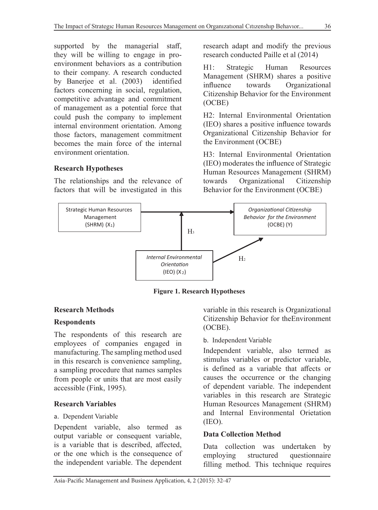supported by the managerial staff, they will be willing to engage in proenvironment behaviors as a contribution to their company. A research conducted by Banerjee et al. (2003) identified factors concerning in social, regulation, competitive advantage and commitment of management as a potential force that could push the company to implement internal environment orientation. Among those factors, management commitment becomes the main force of the internal environment orientation.

# **Research Hypotheses**

The relationships and the relevance of factors that will be investigated in this

research adapt and modify the previous research conducted Paille et al (2014)

H1: Strategic Human Resources Management (SHRM) shares a positive influence towards Organizational Citizenship Behavior for the Environment (OCBE)

H2: Internal Environmental Orientation (IEO) shares a positive influence towards Organizational Citizenship Behavior for the Environment (OCBE)

H3: Internal Environmental Orientation (IEO) moderates the influence of Strategic Human Resources Management (SHRM) towards Organizational Citizenship Behavior for the Environment (OCBE)



**Figure 1. Research Hypotheses**

# **Research Methods**

### **Respondents**

The respondents of this research are employees of companies engaged in manufacturing. The sampling method used in this research is convenience sampling, a sampling procedure that names samples from people or units that are most easily accessible (Fink, 1995).

### **Research Variables**

### a. Dependent Variable

Dependent variable, also termed as output variable or consequent variable, is a variable that is described, affected, or the one which is the consequence of the independent variable. The dependent variable in this research is Organizational Citizenship Behavior for theEnvironment (OCBE).

### b. Independent Variable

Independent variable, also termed as stimulus variables or predictor variable, is defined as a variable that affects or causes the occurrence or the changing of dependent variable. The independent variables in this research are Strategic Human Resources Management (SHRM) and Internal Environmental Orietation (IEO).

### **Data Collection Method**

Data collection was undertaken by employing structured questionnaire filling method. This technique requires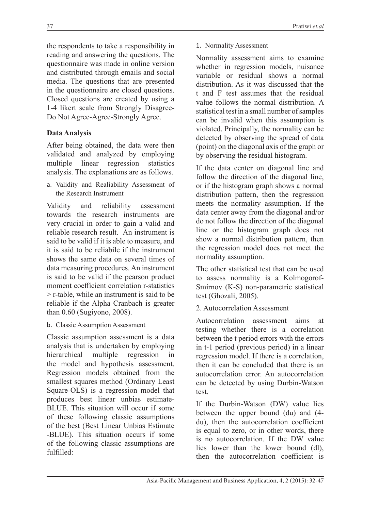the respondents to take a responsibility in reading and answering the questions. The questionnaire was made in online version and distributed through emails and social media. The questions that are presented in the questionnaire are closed questions. Closed questions are created by using a 1-4 likert scale from Strongly Disagree-Do Not Agree-Agree-Strongly Agree.

# **Data Analysis**

After being obtained, the data were then validated and analyzed by employing multiple linear regression statistics analysis. The explanations are as follows.

a. Validity and Realiability Assessment of the Research Instrument

Validity and reliability assessment towards the research instruments are very crucial in order to gain a valid and reliable research result. An instrument is said to be valid if it is able to measure, and it is said to be reliabile if the instrument shows the same data on several times of data measuring procedures. An instrument is said to be valid if the pearson product moment coefficient correlation r-statistics > r-table, while an instrument is said to be reliable if the Alpha Cranbach is greater than 0.60 (Sugiyono, 2008).

b. Classic Assumption Assessment

Classic assumption assessment is a data analysis that is undertaken by employing hierarchical multiple regression in the model and hypothesis assessment. Regression models obtained from the smallest squares method (Ordinary Least Square-OLS) is a regression model that produces best linear unbias estimate-BLUE. This situation will occur if some of these following classic assumptions of the best (Best Linear Unbias Estimate -BLUE). This situation occurs if some of the following classic assumptions are fulfilled:

1. Normality Assessment

Normality assessment aims to examine whether in regression models, nuisance variable or residual shows a normal distribution. As it was discussed that the t and F test assumes that the residual value follows the normal distribution. A statistical test in a small number of samples can be invalid when this assumption is violated. Principally, the normality can be detected by observing the spread of data (point) on the diagonal axis of the graph or by observing the residual histogram.

If the data center on diagonal line and follow the direction of the diagonal line, or if the histogram graph shows a normal distribution pattern, then the regression meets the normality assumption. If the data center away from the diagonal and/or do not follow the direction of the diagonal line or the histogram graph does not show a normal distribution pattern, then the regression model does not meet the normality assumption.

The other statistical test that can be used to assess normality is a Kolmogorof-Smirnov (K-S) non-parametric statistical test (Ghozali, 2005).

# 2. Autocorrelation Assessment

Autocorrelation assessment aims at testing whether there is a correlation between the t period errors with the errors in t-1 period (previous period) in a linear regression model. If there is a correlation, then it can be concluded that there is an autocorrelation error. An autocorrelation can be detected by using Durbin-Watson test.

If the Durbin-Watson (DW) value lies between the upper bound (du) and (4 du), then the autocorrelation coefficient is equal to zero, or in other words, there is no autocorrelation. If the DW value lies lower than the lower bound (dl), then the autocorrelation coefficient is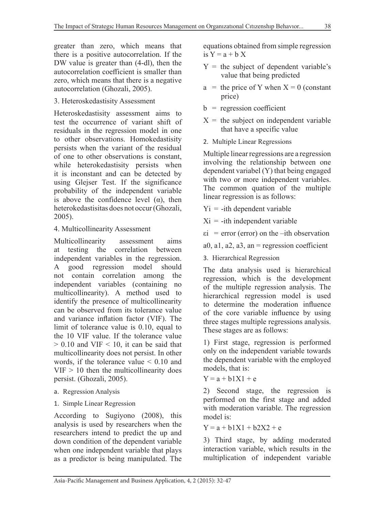greater than zero, which means that there is a positive autocorrelation. If the DW value is greater than (4-dl), then the autocorrelation coefficient is smaller than zero, which means that there is a negative autocorrelation (Ghozali, 2005).

### 3. Heteroskedastisity Assessment

Heteroskedastisity assessment aims to test the occurrence of variant shift of residuals in the regression model in one to other observations. Homokedastisity persists when the variant of the residual of one to other observations is constant, while heterokedastisity persists when it is inconstant and can be detected by using Glejser Test. If the significance probability of the independent variable is above the confidence level  $(\alpha)$ , then heterokedastisitas does not occur (Ghozali, 2005).

## 4. Multicollinearity Assessment

Multicollinearity assessment aims at testing the correlation between independent variables in the regression. A good regression model should not contain correlation among the independent variables (containing no multicollinearity). A method used to identify the presence of multicollinearity can be observed from its tolerance value and variance inflation factor (VIF). The limit of tolerance value is 0.10, equal to the 10 VIF value. If the tolerance value  $> 0.10$  and VIF  $< 10$ , it can be said that multicollinearity does not persist. In other words, if the tolerance value < 0.10 and  $VIF > 10$  then the multicollinearity does persist. (Ghozali, 2005).

- a. Regression Analysis
- 1. Simple Linear Regression

According to Sugiyono (2008), this analysis is used by researchers when the researchers intend to predict the up and down condition of the dependent variable when one independent variable that plays as a predictor is being manipulated. The

equations obtained from simple regression is  $Y = a + bX$ 

- $Y =$  the subject of dependent variable's value that being predicted
- $a =$  the price of Y when  $X = 0$  (constant price)
- $b =$  regression coefficient
- $X =$  the subject on independent variable that have a specific value
- 2. Multiple Linear Regressions

Multiple linear regressions are a regression involving the relationship between one dependent variabel (Y) that being engaged with two or more independent variables. The common quation of the multiple linear regression is as follows:

- $Yi = -i$ th dependent variable
- $Xi = -ith$  independent variable
- $\epsilon i$  = error (error) on the –ith observation
- a0, a1, a2, a3, an = regression coefficient
- 3. Hierarchical Regression

The data analysis used is hierarchical regression, which is the development of the multiple regression analysis. The hierarchical regression model is used to determine the moderation influence of the core variable influence by using three stages multiple regressions analysis. These stages are as follows:

1) First stage, regression is performed only on the independent variable towards the dependent variable with the employed models, that is:

 $Y = a + b1X1 + e$ 

2) Second stage, the regression is performed on the first stage and added with moderation variable. The regression model is:

 $Y = a + b1X1 + b2X2 + e$ 

3) Third stage, by adding moderated interaction variable, which results in the multiplication of independent variable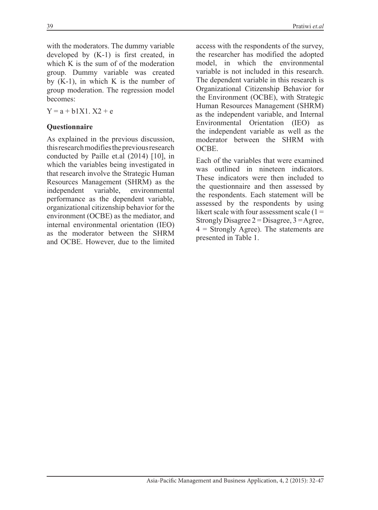with the moderators. The dummy variable developed by (K-1) is first created, in which K is the sum of of the moderation group. Dummy variable was created by  $(K-1)$ , in which K is the number of group moderation. The regression model becomes:

 $Y = a + b1X1$ .  $X2 + e$ 

### **Questionnaire**

As explained in the previous discussion, this research modifies the previous research conducted by Paille et.al (2014) [10], in which the variables being investigated in that research involve the Strategic Human Resources Management (SHRM) as the independent variable, environmental performance as the dependent variable, organizational citizenship behavior for the environment (OCBE) as the mediator, and internal environmental orientation (IEO) as the moderator between the SHRM and OCBE. However, due to the limited access with the respondents of the survey, the researcher has modified the adopted model, in which the environmental variable is not included in this research. The dependent variable in this research is Organizational Citizenship Behavior for the Environment (OCBE), with Strategic Human Resources Management (SHRM) as the independent variable, and Internal Environmental Orientation (IEO) as the independent variable as well as the moderator between the SHRM with OCBE.

Each of the variables that were examined was outlined in nineteen indicators. These indicators were then included to the questionnaire and then assessed by the respondents. Each statement will be assessed by the respondents by using likert scale with four assessment scale  $(1 =$ Strongly Disagree  $2 = Disagree, 3 = Agree,$  $4 =$  Strongly Agree). The statements are presented in Table 1.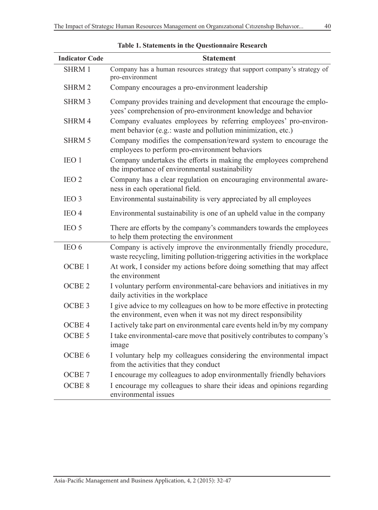| <b>Indicator Code</b> | <b>Statement</b>                                                                                                                                  |
|-----------------------|---------------------------------------------------------------------------------------------------------------------------------------------------|
| <b>SHRM1</b>          | Company has a human resources strategy that support company's strategy of<br>pro-environment                                                      |
| <b>SHRM2</b>          | Company encourages a pro-environment leadership                                                                                                   |
| <b>SHRM3</b>          | Company provides training and development that encourage the emplo-<br>yees' comprehension of pro-environment knowledge and behavior              |
| SHRM4                 | Company evaluates employees by referring employees' pro-environ-<br>ment behavior (e.g.: waste and pollution minimization, etc.)                  |
| <b>SHRM 5</b>         | Company modifies the compensation/reward system to encourage the<br>employees to perform pro-environment behaviors                                |
| IEO <sub>1</sub>      | Company undertakes the efforts in making the employees comprehend<br>the importance of environmental sustainability                               |
| IEO <sub>2</sub>      | Company has a clear regulation on encouraging environmental aware-<br>ness in each operational field.                                             |
| IEO <sub>3</sub>      | Environmental sustainability is very appreciated by all employees                                                                                 |
| IEO <sub>4</sub>      | Environmental sustainability is one of an upheld value in the company                                                                             |
| IEO 5                 | There are efforts by the company's commanders towards the employees<br>to help them protecting the environment                                    |
| IEO 6                 | Company is actively improve the environmentally friendly procedure,<br>waste recycling, limiting pollution-triggering activities in the workplace |
| OCBE <sub>1</sub>     | At work, I consider my actions before doing something that may affect<br>the environment                                                          |
| OCBE <sub>2</sub>     | I voluntary perform environmental-care behaviors and initiatives in my<br>daily activities in the workplace                                       |
| OCBE <sub>3</sub>     | I give advice to my colleagues on how to be more effective in protecting<br>the environment, even when it was not my direct responsibility        |
| OCBE <sub>4</sub>     | I actively take part on environmental care events held in/by my company                                                                           |
| OCBE 5                | I take environmental-care move that positively contributes to company's<br>image                                                                  |
| OCBE 6                | I voluntary help my colleagues considering the environmental impact<br>from the activities that they conduct                                      |
| OCBE <sub>7</sub>     | I encourage my colleagues to adop environmentally friendly behaviors                                                                              |
| OCBE <sub>8</sub>     | I encourage my colleagues to share their ideas and opinions regarding<br>environmental issues                                                     |

| <b>Table 1. Statements in the Questionnaire Research</b> |  |  |  |  |
|----------------------------------------------------------|--|--|--|--|
|----------------------------------------------------------|--|--|--|--|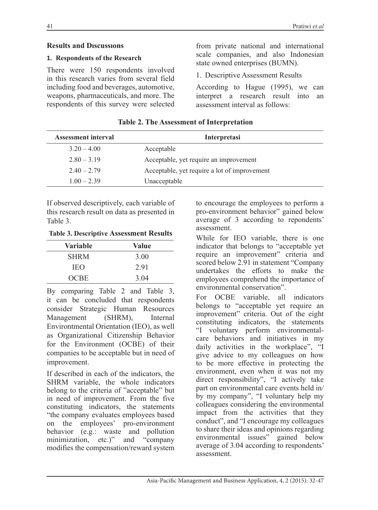## **Results and Dıscussıons**

### **1. Respondents of the Research**

There were 150 respondents involved in this research varies from several field including food and beverages, automotive, weapons, pharmaceuticals, and more. The respondents of this survey were selected

from private national and international scale companies, and also Indonesian state owned enterprises (BUMN).

1. Descriptive Assessment Results

According to Hague (1995), we can interpret a research result into an assessment interval as follows:

| <b>Assessment interval</b> | Interpretasi                                 |
|----------------------------|----------------------------------------------|
| $3.20 - 4.00$              | Acceptable                                   |
| $2.80 - 3.19$              | Acceptable, yet require an improvement       |
| $2.40 - 2.79$              | Acceptable, yet require a lot of improvement |
| $1.00 - 2.39$              | Unacceptable                                 |

**Table 2. The Assessment of Interpretation**

If observed descriptively, each variable of this research result on data as presented in Table 3.

**Table 3. Descriptive Assessment Results**

| Variable    | Value |
|-------------|-------|
| <b>SHRM</b> | 3.00  |
| <b>IEO</b>  | 2.91  |
| <b>OCBE</b> | 3.04  |

By comparing Table 2 and Table 3, it can be concluded that respondents consider Strategic Human Resources Management (SHRM), Internal Environtmental Orientation (IEO), as well as Organizational Citizenship Behavior for the Environment (OCBE) of their companies to be acceptable but in need of improvement.

If described in each of the indicators, the SHRM variable, the whole indicators belong to the criteria of "acceptable" but in need of improvement. From the five constituting indicators, the statements "the company evaluates employees based on the employees' pro-environment behavior (e.g.: waste and pollution minimization, etc.)" and "company modifies the compensation/reward system

to encourage the employees to perform a pro-environment behavior" gained below average of 3 according to repondents' assessment.

While for IEO variable, there is one indicator that belongs to "acceptable yet require an improvement" criteria and scored below 2.91 in statement "Company undertakes the efforts to make the employees comprehend the importance of environmental conservation".

For OCBE variable, all indicators belongs to "acceptable yet require an improvement" criteria. Out of the eight constituting indicators, the statements "I voluntary perform environmentalcare behaviors and initiatives in my daily activities in the workplace", "I give advice to my colleagues on how to be more effective in protecting the environment, even when it was not my direct responsibility", "I actively take part on environmental care events held in/ by my company", "I voluntary help my colleagues considering the environmental impact from the activities that they conduct", and "I encourage my colleagues to share their ideas and opinions regarding environmental issues" gained below average of 3.04 according to respondents' assessment.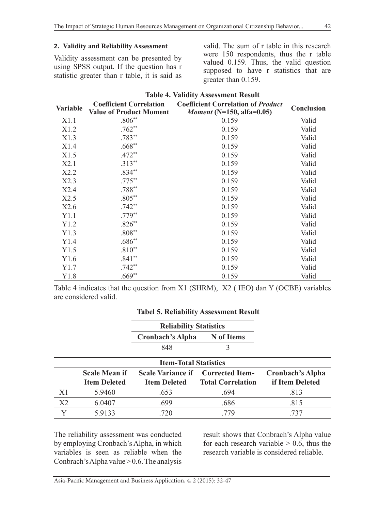#### **2. Validity and Reliability Assessment**

Validity assessment can be presented by using SPSS output. If the question has r statistic greater than r table, it is said as valid. The sum of r table in this research were 150 respondents, thus the r table valued 0.159. Thus, the valid question supposed to have r statistics that are greater than 0.159.

| <b>Variable</b> | <b>Coefficient Correlation</b><br><b>Value of Product Moment</b> | <b>Coefficient Correlation of Product</b><br><i>Moment</i> ( $N=150$ , alfa=0.05) | Conclusion |
|-----------------|------------------------------------------------------------------|-----------------------------------------------------------------------------------|------------|
| X1.1            | $.806**$                                                         | 0.159                                                                             | Valid      |
| X1.2            | $.762**$                                                         | 0.159                                                                             | Valid      |
| X1.3            | $.783**$                                                         | 0.159                                                                             | Valid      |
| X1.4            | $.668**$                                                         | 0.159                                                                             | Valid      |
| X1.5            | $.472**$                                                         | 0.159                                                                             | Valid      |
| X2.1            | $.313**$                                                         | 0.159                                                                             | Valid      |
| X2.2            | $.834**$                                                         | 0.159                                                                             | Valid      |
| X2.3            | $.775***$                                                        | 0.159                                                                             | Valid      |
| X2.4            | $.788**$                                                         | 0.159                                                                             | Valid      |
| X2.5            | $.805***$                                                        | 0.159                                                                             | Valid      |
| X2.6            | $.742**$                                                         | 0.159                                                                             | Valid      |
| Y1.1            | $.779**$                                                         | 0.159                                                                             | Valid      |
| Y1.2            | $.826**$                                                         | 0.159                                                                             | Valid      |
| Y1.3            | $.808**$                                                         | 0.159                                                                             | Valid      |
| Y1.4            | $.686**$                                                         | 0.159                                                                             | Valid      |
| Y1.5            | $.810**$                                                         | 0.159                                                                             | Valid      |
| Y1.6            | $.841**$                                                         | 0.159                                                                             | Valid      |
| Y1.7            | $.742**$                                                         | 0.159                                                                             | Valid      |
| Y1.8            | $.669**$                                                         | 0.159                                                                             | Valid      |

Table 4 indicates that the question from X1 (SHRM), X2 ( IEO) dan Y (OCBE) variables are considered valid.

### **Tabel 5. Reliability Assessment Result**

|    |                      | <b>Reliability Statistics</b> |                                          |                         |
|----|----------------------|-------------------------------|------------------------------------------|-------------------------|
|    |                      | Cronbach's Alpha              | N of Items                               |                         |
|    |                      | 848                           | 3                                        |                         |
|    |                      | <b>Item-Total Statistics</b>  |                                          |                         |
|    | <b>Scale Mean if</b> |                               | <b>Scale Variance if Corrected Item-</b> | <b>Cronbach's Alpha</b> |
|    | <b>Item Deleted</b>  | <b>Item Deleted</b>           | <b>Total Correlation</b>                 | if Item Deleted         |
| X1 | 5.9460               | .653                          | .694                                     | .813                    |
| X2 | 6.0407               | .699                          | .686                                     | .815                    |
|    | 5.9133               | .720                          | .779                                     | .737                    |

The reliability assessment was conducted by employing Cronbach's Alpha, in which variables is seen as reliable when the Conbrach's Alpha value  $> 0.6$ . The analysis result shows that Conbrach's Alpha value for each research variable  $> 0.6$ , thus the research variable is considered reliable.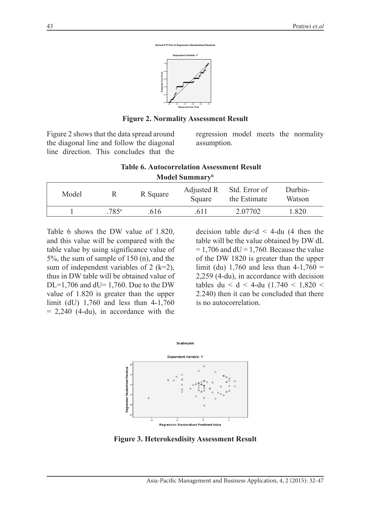

**Figure 2. Normality Assessment Result**

Figure 2 shows that the data spread around the diagonal line and follow the diagonal line direction. This concludes that the regression model meets the normality assumption.

| <b>Table 6. Autocorrelation Assessment Result</b> |
|---------------------------------------------------|
| Model Summary <sup>b</sup>                        |

| Model |      | R Square | Square | Adjusted R Std. Error of<br>the Estimate | Durbin-<br>Watson |
|-------|------|----------|--------|------------------------------------------|-------------------|
|       | 785ª | .616     | .6 I I | 2.07702                                  | l.820             |

Table 6 shows the DW value of 1.820, and this value will be compared with the table value by using significance value of 5%, the sum of sample of 150 (n), and the sum of independent variables of 2 ( $k=2$ ), thus in DW table will be obtained value of DL=1,706 and dU= 1,760. Due to the DW value of 1.820 is greater than the upper limit (dU) 1,760 and less than 4-1,760  $= 2,240$  (4-du), in accordance with the

decision table  $du < d < 4$ -du (4 then the table will be the value obtained by DW dL  $= 1,706$  and  $dU = 1,760$ . Because the value of the DW 1820 is greater than the upper limit (du) 1,760 and less than  $4-1,760 =$ 2,259 (4-du), in accordance with decision tables du  $\leq d \leq 4$ -du (1.740  $\leq 1,820 \leq 1$ 2.240) then it can be concluded that there is no autocorrelation.



**Figure 3. Heterokesdisity Assessment Result**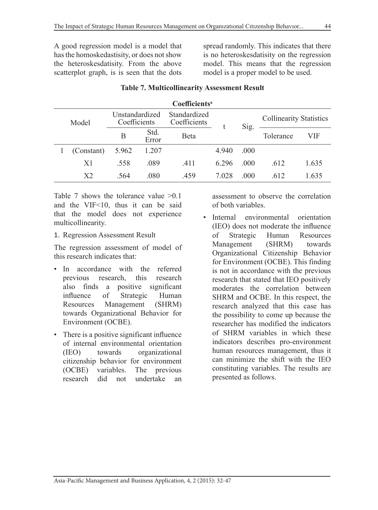A good regression model is a model that has the homoskedastisity, or does not show the heteroskesdatisity. From the above scatterplot graph, is is seen that the dots

spread randomly. This indicates that there is no heteroskesdatisity on the regression model. This means that the regression model is a proper model to be used.

|       |                |                                |               | Coefficients <sup>a</sup>    |       |      |                                |       |
|-------|----------------|--------------------------------|---------------|------------------------------|-------|------|--------------------------------|-------|
| Model |                | Unstandardized<br>Coefficients |               | Standardized<br>Coefficients |       |      | <b>Collinearity Statistics</b> |       |
|       |                | B                              | Std.<br>Error | Beta                         | Sig.  |      | Tolerance                      | VIF   |
|       | (Constant)     | 5.962                          | 1.207         |                              | 4.940 | .000 |                                |       |
|       | X1             | .558                           | .089          | .411                         | 6.296 | .000 | .612                           | 1.635 |
|       | X <sub>2</sub> | .564                           | .080          | .459                         | 7.028 | .000 | .612                           | 1.635 |

### **Table 7. Multicollinearity Assessment Result**

Table 7 shows the tolerance value  $>0.1$ and the VIF<10, thus it can be said that the model does not experience multicollinearity.

1. Regression Assessment Result

The regression assessment of model of this research indicates that:

- In accordance with the referred previous research, this research also finds a positive significant influence of Strategic Human Resources Management (SHRM) towards Organizational Behavior for Environment (OCBE).
- There is a positive significant influence of internal environmental orientation (IEO) towards organizational citizenship behavior for environment (OCBE) variables. The previous research did not undertake an

assessment to observe the correlation of both variables.

• Internal environmental orientation (IEO) does not moderate the influence of Strategic Human Resources Management (SHRM) towards Organizational Citizenship Behavior for Environment (OCBE). This finding is not in accordance with the previous research that stated that IEO positively moderates the correlation between SHRM and OCBE. In this respect, the research analyzed that this case has the possibility to come up because the researcher has modified the indicators of SHRM variables in which these indicators describes pro-environment human resources management, thus it can minimize the shift with the IEO constituting variables. The results are presented as follows.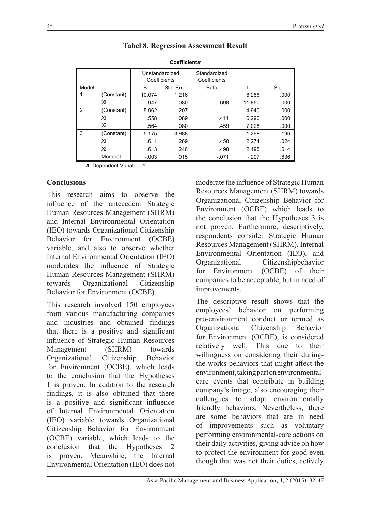|       |            | Unstandardized<br>Coefficients |            | Standardized<br>Coefficients |         |      |
|-------|------------|--------------------------------|------------|------------------------------|---------|------|
| Model |            | В                              | Std. Error | Beta                         |         | Sig. |
|       | (Constant) | 10.074                         | 1.216      |                              | 8.286   | .000 |
|       | X١         | .947                           | .080       | .698                         | 11.850  | .000 |
| 2     | (Constant) | 5.962                          | 1.207      |                              | 4.940   | .000 |
|       | XI         | .558                           | .089       | .411                         | 6.296   | .000 |
|       | X2         | .564                           | .080       | .459                         | 7.028   | .000 |
| 3     | (Constant) | 5.175                          | 3.988      |                              | 1.298   | .196 |
|       | X١         | .611                           | .269       | .450                         | 2.274   | .024 |
|       | X2         | .613                           | .246       | .498                         | 2.495   | .014 |
|       | Moderat    | $-.003$                        | .015       | $-.071$                      | $-.207$ | .836 |

# **Tabel 8. Regression Assessment Result**

**Coefficientsa**

a. Dependent Variable: Y

## **Conclusıons**

This research aims to observe the influence of the antecedent Strategic Human Resources Management (SHRM) and Internal Environmental Orientation (IEO) towards Organizational Citizenship Behavior for Environment (OCBE) variable, and also to observe whether Internal Environmental Orientation (IEO) moderates the influence of Strategic Human Resources Management (SHRM) towards Organizational Citizenship Behavior for Environment (OCBE).

This research involved 150 employees from various manufacturing companies and industries and obtained findings that there is a positive and significant influence of Strategic Human Resources Management (SHRM) towards Organizational Citizenship Behavior for Environment (OCBE), which leads to the conclusion that the Hypotheses 1 is proven. In addition to the research findings, it is also obtained that there is a positive and significant influence of Internal Environmental Orientation (IEO) variable towards Organizational Citizenship Behavior for Environment (OCBE) variable, which leads to the conclusion that the Hypotheses 2 is proven. Meanwhile, the Internal Environmental Orientation (IEO) does not

moderate the influence of Strategic Human Resources Management (SHRM) towards Organizational Citizenship Behavior for Environment (OCBE) which leads to the conclusion that the Hypotheses 3 is not proven. Furthermore, descriptively, respondents consider Strategic Human Resources Management (SHRM), Internal Environmental Orientation (IEO), and Organizational Citizenshipbehavior for Environment (OCBE) of their companies to be acceptable, but in need of improvements.

The descriptive result shows that the employees' behavior on performing pro-environment conduct or termed as Organizational Citizenship Behavior for Environment (OCBE), is considered relatively well. This due to their willingness on considering their duringthe-works behaviors that might affect the environment, taking part on environmentalcare events that contribute in building company's image, also encouraging their colleagues to adopt environmentally friendly behaviors. Nevertheless, there are some behaviors that are in need of improvements such as voluntary performing environmental-care actions on their daily activities, giving advice on how to protect the environment for good even though that was not their duties, actively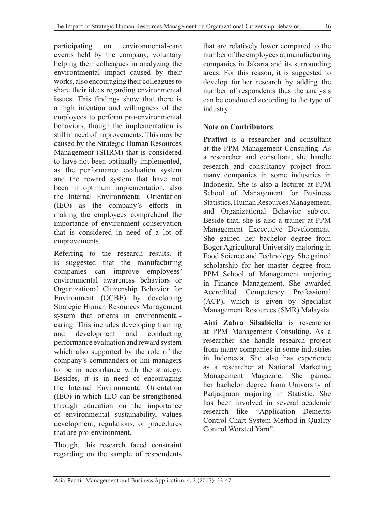participating on environmental-care events held by the company, voluntary helping their colleagues in analyzing the environtmental impact caused by their works, also encouraging their colleagues to share their ideas regarding environmental issues. This findings show that there is a high intention and willingness of the employees to perform pro-environmental behaviors, though the implementation is still in need of improvements. This may be caused by the Strategic Human Resources Management (SHRM) that is considered to have not been optimally implemented, as the performance evaluation system and the reward system that have not been in optimum implementation, also the Internal Environmental Orientation (IEO) as the company's efforts in making the employees comprehend the importance of environment conservation that is considered in need of a lot of emprovements.

Referring to the research results, it is suggested that the manufacturing companies can improve employees' environmental awareness behaviors or Organizational Citizenship Behavior for Environment (OCBE) by developing Strategic Human Resources Management system that orients in environmentalcaring. This includes developing training and development and conducting performance evaluation and reward system which also supported by the role of the company's commanders or lini managers to be in accordance with the strategy. Besides, it is in need of encouraging the Internal Environmental Orientation (IEO) in which IEO can be strengthened through education on the importance of environmental sustainability, values development, regulations, or procedures that are pro-environment.

Though, this research faced constraint regarding on the sample of respondents that are relatively lower compared to the number of the employees at manufacturing companies in Jakarta and its surrounding areas. For this reason, it is suggested to develop further research by adding the number of respondents thus the analysis can be conducted according to the type of industry.

## **Note on Contributors**

**Pratiwi** is a researcher and consultant at the PPM Management Consulting. As a researcher and consultant, she handle research and consultancy project from many companies in some industries in Indonesia. She is also a lecturer at PPM School of Management for Business Statistics, Human Resources Management, and Organizational Behavior subject. Beside that, she is also a trainer at PPM Management Excecutive Development. She gained her bachelor degree from Bogor Agricultural University majoring in Food Science and Technology. She gained scholarship for her master degree from PPM School of Management majoring in Finance Management. She awarded Accredited Competency Professional (ACP), which is given by Specialist Management Resources (SMR) Malaysia.

**Aini Zahra Silsabiella** is researcher at PPM Management Consulting. As a researcher she handle research project from many companies in some industries in Indonesia. She also has experience as a researcher at National Marketing Management Magazine. She gained her bachelor degree from University of Padjadjaran majoring in Statistic. She has been involved in several academic research like "Application Demerits Control Chart System Method in Quality Control Worsted Yarn".